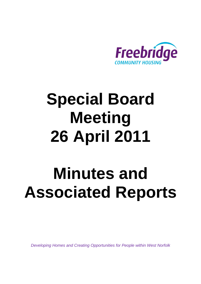

# **Special Board Meeting 26 April 2011**

# **Minutes and Associated Reports**

*Developing Homes and Creating Opportunities for People within West Norfolk*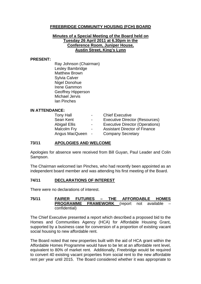#### **FREEBRIDGE COMMUNITY HOUSING (FCH) BOARD**

#### **Minutes of a Special Meeting of the Board held on Tuesday 26 April 2011 at 6.30pm in the Conference Room, Juniper House, Austin Street, King's Lynn**

#### **PRESENT:**

Ray Johnson (Chairman) Lesley Bambridge Matthew Brown Sylvia Calver Nigel Donohue Irene Gammon Geoffrey Hipperson Michael Jervis Ian Pinches

#### **IN ATTENDANCE:**

| <b>Tony Hall</b>     | $\sim$         | <b>Chief Executive</b>                 |
|----------------------|----------------|----------------------------------------|
| Sean Kent            | $\sim$         | <b>Executive Director (Resources)</b>  |
| <b>Abigail Ellis</b> | $\blacksquare$ | <b>Executive Director (Operations)</b> |
| Malcolm Fry          | $\sim$         | <b>Assistant Director of Finance</b>   |
| Angus MacQueen -     |                | <b>Company Secretary</b>               |

#### **73/11 APOLOGIES AND WELCOME**

Apologies for absence were received from Bill Guyan, Paul Leader and Colin Sampson.

The Chairman welcomed Ian Pinches, who had recently been appointed as an independent board member and was attending his first meeting of the Board.

#### **74/11 DECLARATIONS OF INTEREST**

There were no declarations of interest.

#### **75/11 FAIRER FUTURES – THE AFFORDABLE HOMES PROGRAMME FRAMEWORK** (report not available confidential)

The Chief Executive presented a report which described a proposed bid to the Homes and Communities Agency (HCA) for Affordable Housing Grant, supported by a business case for conversion of a proportion of existing vacant social housing to new affordable rent.

The Board noted that new properties built with the aid of HCA grant within the Affordable Homes Programme would have to be let at an affordable rent level, equivalent to 80% of market rent. Additionally, Freebridge would be required to convert 40 existing vacant properties from social rent to the new affordable rent per year until 2015. The Board considered whether it was appropriate to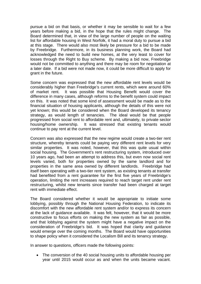pursue a bid on that basis, or whether it may be sensible to wait for a few years before making a bid, in the hope that the rules might change. The Board determined that, in view of the large number of people on the waiting list for affordable housing in West Norfolk, it had a moral duty to pursue a bid at this stage. There would also most likely be pressure for a bid to be made by Freebridge. Furthermore, in its business planning work, the Board had acknowledged the need to build new homes, at the very least to cover for losses through the Right to Buy scheme. By making a bid now, Freebridge would not be committed to anything and there may be room for negotiation at a later date. If a bid were not made now, it could be more difficult to apply for grant in the future.

Some concern was expressed that the new affordable rent levels would be considerably higher than Freebridge's current rents, which were around 60% of market rent. It was possible that Housing Benefit would cover the difference in many cases, although reforms to the benefit system could impact on this. It was noted that some kind of assessment would be made as to the financial situation of housing applicants, although the details of this were not yet known; this would be considered when the Board developed its tenancy strategy, as would length of tenancies. The ideal would be that people progressed from social rent to affordable rent and, ultimately, to private sector housing/home ownership. It was stressed that existing tenants would continue to pay rent at the current level.

Concern was also expressed that the new regime would create a two-tier rent structure, whereby tenants could be paying very different rent levels for very similar properties. It was noted, however, that this was quite usual within social housing. The Government's rent restructuring system, introduced over 10 years ago, had been an attempt to address this, but even now social rent levels varied, both for properties owned by the same landlord and for properties in the same area owned by different landlords. Freebridge had itself been operating with a two-tier rent system, as existing tenants at transfer had benefited from a rent guarantee for the first five years of Freebridge's operation, limiting the rent increases required to reach target rent under rent restructuring, whilst new tenants since transfer had been charged at target rent with immediate effect.

The Board considered whether it would be appropriate to initiate some lobbying, possibly through the National Housing Federation, to indicate its discomfort with the new affordable rent system and/or to express its concern at the lack of guidance available. It was felt, however, that it would be more constructive to focus efforts on making the new system as fair as possible, and that lobbying against the system might have a negative impact on the consideration of Freebridge's bid. It was hoped that clarity and guidance would emerge over the coming months. The Board would have opportunities to shape policy when it considered the Localism Bill and its tenancy strategy.

In answer to questions, officers made the following points:

• The conversion of the 40 social housing units to affordable housing per year until 2015 would occur as and when the units became vacant.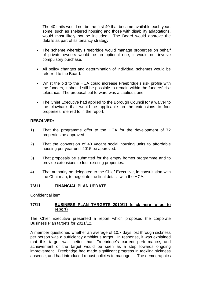The 40 units would not be the first 40 that became available each year; some, such as sheltered housing and those with disability adaptations, would most likely not be included. The Board would approve the details as part of its tenancy strategy.

- The scheme whereby Freebridge would manage properties on behalf of private owners would be an optional one; it would not involve compulsory purchase.
- All policy changes and determination of individual schemes would be referred to the Board.
- Whist the bid to the HCA could increase Freebridge's risk profile with the funders, it should still be possible to remain within the funders' risk tolerance. The proposal put forward was a cautious one.
- The Chief Executive had applied to the Borough Council for a waiver to the clawback that would be applicable on the extensions to four properties referred to in the report.

#### **RESOLVED:**

- 1) That the programme offer to the HCA for the development of 72 properties be approved
- 2) That the conversion of 40 vacant social housing units to affordable housing per year until 2015 be approved.
- 3) That proposals be submitted for the empty homes programme and to provide extensions to four existing properties.
- 4) That authority be delegated to the Chief Executive, in consultation with the Chairman, to negotiate the final details with the HCA.

#### **76/11 FINANCIAL PLAN UPDATE**

Confidential item

#### **77/11 [BUSINESS PLAN TARGETS 2010/11 \(click here to go to](#page-5-0) report)**

The Chief Executive presented a report which proposed the corporate Business Plan targets for 2011/12.

A member questioned whether an average of 10.7 days lost through sickness per person was a sufficiently ambitious target. In response, it was explained that this target was better than Freebridge's current performance, and achievement of the target would be seen as a step towards ongoing improvement. Freebridge had made significant progress in tackling sickness absence, and had introduced robust policies to manage it. The demographics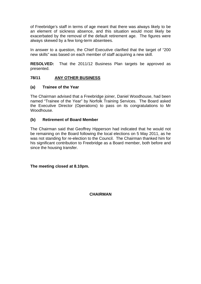of Freebridge's staff in terms of age meant that there was always likely to be an element of sickness absence, and this situation would most likely be exacerbated by the removal of the default retirement age. The figures were always skewed by a few long-term absentees.

In answer to a question, the Chief Executive clarified that the target of "200 new skills" was based on each member of staff acquiring a new skill.

**RESOLVED:** That the 2011/12 Business Plan targets be approved as presented.

#### **78/11 ANY OTHER BUSINESS**

#### **(a) Trainee of the Year**

The Chairman advised that a Freebridge joiner, Daniel Woodhouse, had been named "Trainee of the Year" by Norfolk Training Services. The Board asked the Executive Director (Operations) to pass on its congratulations to Mr Woodhouse.

#### **(b) Retirement of Board Member**

The Chairman said that Geoffrey Hipperson had indicated that he would not be remaining on the Board following the local elections on 5 May 2011, as he was not standing for re-election to the Council. The Chairman thanked him for his significant contribution to Freebridge as a Board member, both before and since the housing transfer.

**The meeting closed at 8.10pm.** 

**CHAIRMAN**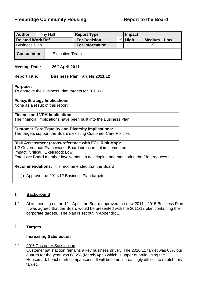### <span id="page-5-0"></span>**Freebridge Community Housing The Report to the Board**

| <b>Author</b>            | <b>Tony Hall</b>      | <b>Report Type</b>     |  | Impact      |               |     |
|--------------------------|-----------------------|------------------------|--|-------------|---------------|-----|
| <b>Related Work Ref.</b> |                       | <b>For Decision</b>    |  | <b>High</b> | <b>Medium</b> | Low |
| <b>Business Plan</b>     |                       | <b>For Information</b> |  |             |               |     |
| <b>Consultation</b>      | <b>Executive Team</b> |                        |  |             |               |     |

### Meeting Date: 26<sup>th</sup> April 2011

#### **Report Title: Business Plan Targets 2011/12**

#### **Purpose:**

To approve the Business Plan targets for 2011/12

#### **Policy/Strategy Implications:**

None as a result of this report

#### **Finance and VFM Implications:**

The financial implications have been built into the Business Plan

#### **Customer Care/Equality and Diversity Implications:**

The targets support the Board's existing Customer Care Policies

#### **Risk Assessment (cross-reference with FCH Risk Map):**

1.2 Governance Framework. Board direction not implemented. Impact: Critical, Likelihood: Low Extensive Board member involvement in developing and monitoring the Plan reduces risk.

#### **Recommendations:** It is recommended that the Board

(i) Approve the 2011/12 Business Plan targets

#### 1 **Background**

1.1 At its meeting on the 11<sup>th</sup> April, the Board approved the new 2011 - 2015 Business Plan. It was agreed that the Board would be presented with the 2011/12 plan containing the corporate targets. The plan is set out in Appendix 1.

#### 2 **Targets**

#### **Increasing Satisfaction**

#### 2.1 90% Customer Satisfaction

Customer satisfaction remains a key business driver. The 2010/11 target was 83% our outturn for the year was 88.2% (March/April) which is upper quartile using the Housemark benchmark comparisons. It will become increasingly difficult to stretch this target.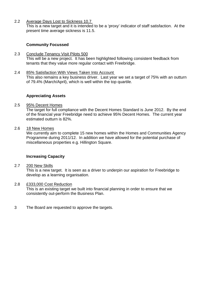2.2 Average Days Lost to Sickness 10.7

This is a new target and it is intended to be a 'proxy' indicator of staff satisfaction. At the present time average sickness is 11.5.

#### **Community Focussed**

- 2.3 Conclude Tenancy Visit Pilots 500 This will be a new project. It has been highlighted following consistent feedback from tenants that they value more regular contact with Freebridge.
- 2.4 85% Satisfaction With Views Taken Into Account This also remains a key business driver. Last year we set a target of 75% with an outturn of 79.4% (March/April), which is well within the top quartile.

#### **Appreciating Assets**

#### 2.5 95% Decent Homes

 The target for full compliance with the Decent Homes Standard is June 2012. By the end of the financial year Freebridge need to achieve 95% Decent Homes. The current year estimated outturn is 82%.

#### 2.6 18 New Homes

 We currently aim to complete 15 new homes within the Homes and Communities Agency Programme during 2011/12. In addition we have allowed for the potential purchase of miscellaneous properties e.g. Hillington Square.

#### **Increasing Capacity**

#### 2.7 200 New Skills

 This is a new target. It is seen as a driver to underpin our aspiration for Freebridge to develop as a learning organisation.

#### 2.8 £333,000 Cost Reduction

 This is an existing target we built into financial planning in order to ensure that we consistently out-perform the Business Plan.

3 The Board are requested to approve the targets.